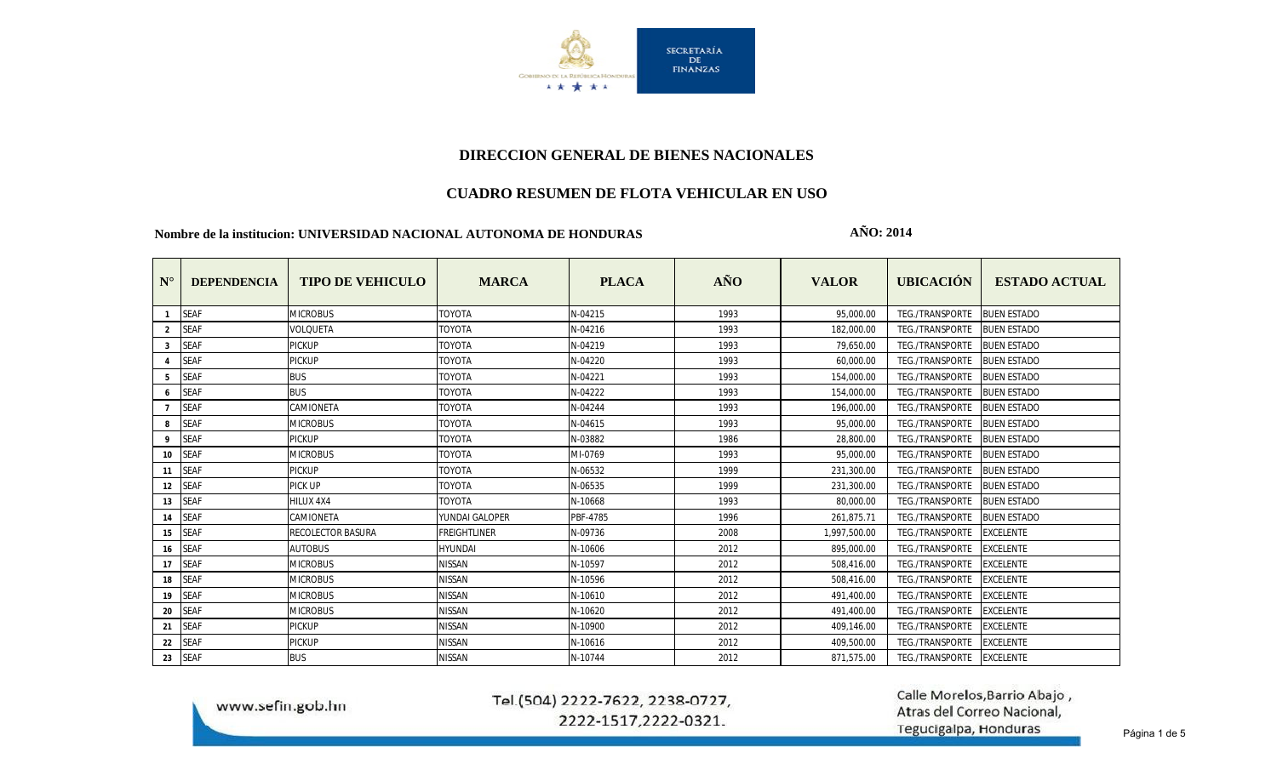

## **DIRECCION GENERAL DE BIENES NACIONALES**

### **CUADRO RESUMEN DE FLOTA VEHICULAR EN USO**

#### **Nombre de la institucion: UNIVERSIDAD NACIONAL AUTONOMA DE HONDURAS**

**AÑO: 2014**

| $N^{\circ}$    | <b>DEPENDENCIA</b> | <b>TIPO DE VEHICULO</b>  | <b>MARCA</b>        | <b>PLACA</b> | AÑO  | <b>VALOR</b> | <b>UBICACIÓN</b>       | <b>ESTADO ACTUAL</b> |
|----------------|--------------------|--------------------------|---------------------|--------------|------|--------------|------------------------|----------------------|
| $\mathbf{1}$   | <b>SEAF</b>        | <b>MICROBUS</b>          | ΤΟΥΟΤΑ              | N-04215      | 1993 | 95,000.00    | TEG./TRANSPORTE        | <b>BUEN ESTADO</b>   |
| $\overline{2}$ | <b>SEAF</b>        | <b>VOLOUETA</b>          | <b>TOYOTA</b>       | N-04216      | 1993 | 182,000.00   | TEG./TRANSPORTE        | <b>BUEN ESTADO</b>   |
| 3              | <b>SEAF</b>        | <b>PICKUP</b>            | <b>TOYOTA</b>       | N-04219      | 1993 | 79,650.00    | TEG./TRANSPORTE        | <b>BUEN ESTADO</b>   |
|                | <b>SEAF</b>        | <b>PICKUP</b>            | <b>TOYOTA</b>       | N-04220      | 1993 | 60,000.00    | TEG./TRANSPORTE        | <b>BUEN ESTADO</b>   |
| 5              | <b>SEAF</b>        | <b>BUS</b>               | <b>TOYOTA</b>       | N-04221      | 1993 | 154,000.00   | TEG./TRANSPORTE        | <b>BUEN ESTADO</b>   |
| 6              | <b>SEAF</b>        | <b>BUS</b>               | TOYOTA              | N-04222      | 1993 | 154,000.00   | TEG./TRANSPORTE        | <b>BUEN ESTADO</b>   |
| $\overline{7}$ | <b>SEAF</b>        | CAMIONETA                | TOYOTA              | N-04244      | 1993 | 196,000.00   | TEG./TRANSPORTE        | <b>BUEN ESTADO</b>   |
| 8              | <b>SEAF</b>        | <b>MICROBUS</b>          | TOYOTA              | N-04615      | 1993 | 95,000.00    | TEG./TRANSPORTE        | <b>BUEN ESTADO</b>   |
| 9              | <b>SEAF</b>        | <b>PICKUP</b>            | <b>TOYOTA</b>       | N-03882      | 1986 | 28.800.00    | TEG./TRANSPORTE        | <b>BUEN ESTADO</b>   |
| 10             | <b>SEAF</b>        | <b>MICROBUS</b>          | <b>TOYOTA</b>       | MI-0769      | 1993 | 95,000.00    | TEG./TRANSPORTE        | <b>BUEN ESTADO</b>   |
| 11             | <b>SEAF</b>        | <b>PICKUP</b>            | <b>TOYOTA</b>       | N-06532      | 1999 | 231,300.00   | TEG./TRANSPORTE        | <b>BUEN ESTADO</b>   |
| 12             | <b>SEAF</b>        | <b>PICK UP</b>           | <b>TOYOTA</b>       | N-06535      | 1999 | 231,300.00   | <b>TEG./TRANSPORTE</b> | <b>BUEN ESTADO</b>   |
| 13             | <b>SEAF</b>        | HILUX 4X4                | <b>TOYOTA</b>       | N-10668      | 1993 | 80,000.00    | TEG./TRANSPORTE        | <b>BUEN ESTADO</b>   |
| 14             | <b>SEAF</b>        | CAMIONETA                | YUNDAI GALOPER      | PBF-4785     | 1996 | 261,875.71   | TEG./TRANSPORTE        | <b>BUEN ESTADO</b>   |
| 15             | <b>SEAF</b>        | <b>RECOLECTOR BASURA</b> | <b>FREIGHTLINER</b> | N-09736      | 2008 | 1,997,500.00 | TEG./TRANSPORTE        | <b>EXCELENTE</b>     |
| 16             | <b>SEAF</b>        | <b>AUTOBUS</b>           | <b>HYUNDAI</b>      | N-10606      | 2012 | 895,000.00   | <b>TEG./TRANSPORTE</b> | <b>EXCELENTE</b>     |
| 17             | <b>SEAF</b>        | <b>MICROBUS</b>          | <b>NISSAN</b>       | N-10597      | 2012 | 508.416.00   | <b>TEG./TRANSPORTE</b> | <b>EXCELENTE</b>     |
| 18             | <b>SEAF</b>        | <b>MICROBUS</b>          | <b>NISSAN</b>       | N-10596      | 2012 | 508.416.00   | TEG./TRANSPORTE        | <b>EXCELENTE</b>     |
| 19             | <b>SEAF</b>        | <b>MICROBUS</b>          | <b>NISSAN</b>       | N-10610      | 2012 | 491,400.00   | <b>TEG./TRANSPORTE</b> | <b>EXCELENTE</b>     |
| 20             | <b>SEAF</b>        | <b>MICROBUS</b>          | NISSAN              | N-10620      | 2012 | 491,400.00   | <b>TEG./TRANSPORTE</b> | <b>EXCELENTE</b>     |
| 21             | <b>SEAF</b>        | <b>PICKUP</b>            | <b>NISSAN</b>       | N-10900      | 2012 | 409.146.00   | <b>TEG./TRANSPORTE</b> | <b>EXCELENTE</b>     |
| 22             | <b>SEAF</b>        | <b>PICKUP</b>            | <b>NISSAN</b>       | N-10616      | 2012 | 409.500.00   | TEG./TRANSPORTE        | <b>EXCELENTE</b>     |
| 23             | <b>SEAF</b>        | <b>BUS</b>               | <b>NISSAN</b>       | N-10744      | 2012 | 871,575.00   | TEG./TRANSPORTE        | <b>EXCELENTE</b>     |

www.sefin.gob.hn

## Tel.(504) 2222-7622, 2238-0727, 2222-1517,2222-0321.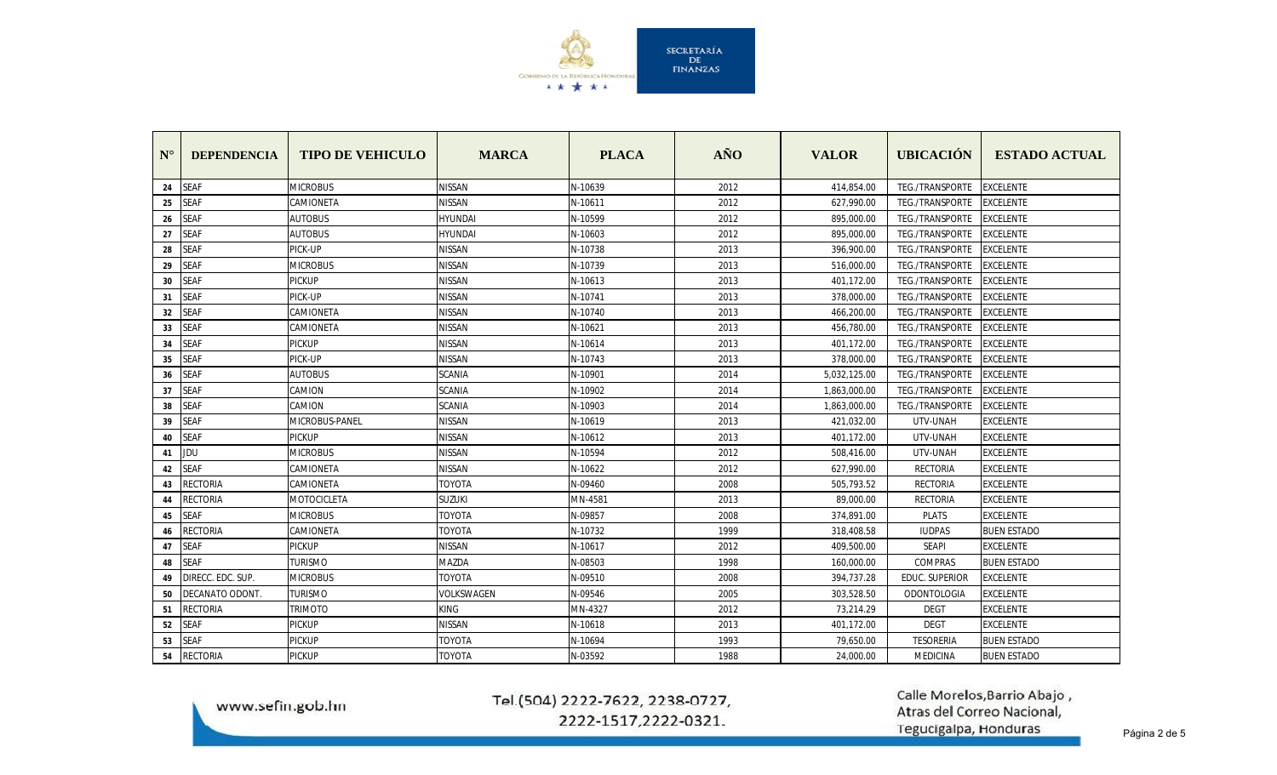

| $N^{\circ}$ | <b>DEPENDENCIA</b> | <b>TIPO DE VEHICULO</b> | <b>MARCA</b>   | <b>PLACA</b> | $\tilde{A} \tilde{N} O$ | <b>VALOR</b> | <b>UBICACIÓN</b>       | <b>ESTADO ACTUAL</b> |
|-------------|--------------------|-------------------------|----------------|--------------|-------------------------|--------------|------------------------|----------------------|
| 24          | <b>SEAF</b>        | <b>MICROBUS</b>         | <b>NISSAN</b>  | N-10639      | 2012                    | 414,854.00   | TEG./TRANSPORTE        | <b>EXCELENTE</b>     |
| 25          | <b>SEAF</b>        | CAMIONETA               | NISSAN         | N-10611      | 2012                    | 627,990.00   | TEG./TRANSPORTE        | <b>EXCELENTE</b>     |
| 26          | <b>SEAF</b>        | <b>AUTOBUS</b>          | HYUNDAI        | N-10599      | 2012                    | 895,000.00   | TEG./TRANSPORTE        | <b>EXCELENTE</b>     |
| 27          | <b>SEAF</b>        | <b>AUTOBUS</b>          | <b>HYUNDAI</b> | N-10603      | 2012                    | 895,000.00   | <b>TEG./TRANSPORTE</b> | <b>EXCELENTE</b>     |
| 28          | <b>SEAF</b>        | PICK-UP                 | <b>NISSAN</b>  | N-10738      | 2013                    | 396,900.00   | TEG./TRANSPORTE        | <b>EXCELENTE</b>     |
| 29          | <b>SEAF</b>        | <b>MICROBUS</b>         | NISSAN         | N-10739      | 2013                    | 516,000.00   | TEG./TRANSPORTE        | <b>EXCELENTE</b>     |
| 30          | <b>SEAF</b>        | <b>PICKUP</b>           | <b>NISSAN</b>  | N-10613      | 2013                    | 401,172.00   | TEG./TRANSPORTE        | <b>EXCELENTE</b>     |
| 31          | <b>SEAF</b>        | PICK-UP                 | NISSAN         | N-10741      | 2013                    | 378,000.00   | TEG./TRANSPORTE        | <b>EXCELENTE</b>     |
| 32          | <b>SEAF</b>        | CAMIONETA               | <b>NISSAN</b>  | N-10740      | 2013                    | 466,200.00   | TEG./TRANSPORTE        | <b>EXCELENTE</b>     |
| 33          | <b>SEAF</b>        | CAMIONETA               | <b>NISSAN</b>  | N-10621      | 2013                    | 456,780.00   | <b>TEG./TRANSPORTE</b> | <b>EXCELENTE</b>     |
| 34          | <b>SEAF</b>        | <b>PICKUP</b>           | NISSAN         | N-10614      | 2013                    | 401,172.00   | <b>TEG./TRANSPORTE</b> | <b>EXCELENTE</b>     |
| 35          | <b>SEAF</b>        | PICK-UP                 | <b>NISSAN</b>  | N-10743      | 2013                    | 378,000.00   | TEG./TRANSPORTE        | <b>EXCELENTE</b>     |
| 36          | <b>SEAF</b>        | <b>AUTOBUS</b>          | SCANIA         | N-10901      | 2014                    | 5,032,125.00 | <b>TEG./TRANSPORTE</b> | <b>EXCELENTE</b>     |
| 37          | <b>SEAF</b>        | CAMION                  | <b>SCANIA</b>  | N-10902      | 2014                    | 1,863,000.00 | TEG./TRANSPORTE        | <b>EXCELENTE</b>     |
| 38          | <b>SEAF</b>        | CAMION                  | <b>SCANIA</b>  | N-10903      | 2014                    | 1,863,000.00 | TEG./TRANSPORTE        | <b>EXCELENTE</b>     |
| 39          | <b>SEAF</b>        | MICROBUS-PANEL          | <b>NISSAN</b>  | N-10619      | 2013                    | 421,032.00   | UTV-UNAH               | <b>EXCELENTE</b>     |
| 40          | <b>SEAF</b>        | <b>PICKUP</b>           | NISSAN         | N-10612      | 2013                    | 401,172.00   | UTV-UNAH               | <b>EXCELENTE</b>     |
| 41          | JDU                | <b>MICROBUS</b>         | NISSAN         | N-10594      | 2012                    | 508,416.00   | UTV-UNAH               | <b>EXCELENTE</b>     |
| 42          | <b>SEAF</b>        | CAMIONETA               | <b>NISSAN</b>  | N-10622      | 2012                    | 627,990.00   | <b>RECTORIA</b>        | <b>EXCELENTE</b>     |
| 43          | <b>RECTORIA</b>    | CAMIONETA               | TOYOTA         | N-09460      | 2008                    | 505,793.52   | <b>RECTORIA</b>        | <b>EXCELENTE</b>     |
| 44          | <b>RECTORIA</b>    | <b>MOTOCICLETA</b>      | <b>SUZUKI</b>  | MN-4581      | 2013                    | 89,000.00    | RECTORIA               | <b>EXCELENTE</b>     |
| 45          | <b>SEAF</b>        | <b>MICROBUS</b>         | <b>TOYOTA</b>  | N-09857      | 2008                    | 374,891.00   | <b>PLATS</b>           | <b>EXCELENTE</b>     |
| 46          | RECTORIA           | CAMIONETA               | TOYOTA         | N-10732      | 1999                    | 318,408.58   | <b>IUDPAS</b>          | <b>BUEN ESTADO</b>   |
| 47          | <b>SEAF</b>        | <b>PICKUP</b>           | <b>NISSAN</b>  | N-10617      | 2012                    | 409,500.00   | <b>SEAPI</b>           | <b>EXCELENTE</b>     |
| 48          | <b>SEAF</b>        | <b>TURISMO</b>          | MAZDA          | N-08503      | 1998                    | 160,000.00   | <b>COMPRAS</b>         | <b>BUEN ESTADO</b>   |
| 49          | DIRECC. EDC. SUP.  | <b>MICROBUS</b>         | TOYOTA         | N-09510      | 2008                    | 394,737.28   | <b>EDUC. SUPERIOR</b>  | <b>EXCELENTE</b>     |
| 50          | DECANATO ODONT.    | <b>TURISMO</b>          | VOLKSWAGEN     | N-09546      | 2005                    | 303,528.50   | ODONTOLOGIA            | <b>EXCELENTE</b>     |
| 51          | RECTORIA           | trimoto                 | KING           | MN-4327      | 2012                    | 73,214.29    | <b>DEGT</b>            | <b>EXCELENTE</b>     |
| 52          | <b>SEAF</b>        | <b>PICKUP</b>           | <b>NISSAN</b>  | N-10618      | 2013                    | 401,172.00   | <b>DEGT</b>            | <b>EXCELENTE</b>     |
| 53          | <b>SEAF</b>        | <b>PICKUP</b>           | <b>TOYOTA</b>  | N-10694      | 1993                    | 79,650.00    | <b>TESORERIA</b>       | <b>BUEN ESTADO</b>   |
| 54          | <b>RECTORIA</b>    | <b>PICKUP</b>           | <b>TOYOTA</b>  | N-03592      | 1988                    | 24,000.00    | <b>MEDICINA</b>        | <b>BUEN ESTADO</b>   |

www.sefin.gob.hn

# Tel.(504) 2222-7622, 2238-0727, 2222-1517,2222-0321.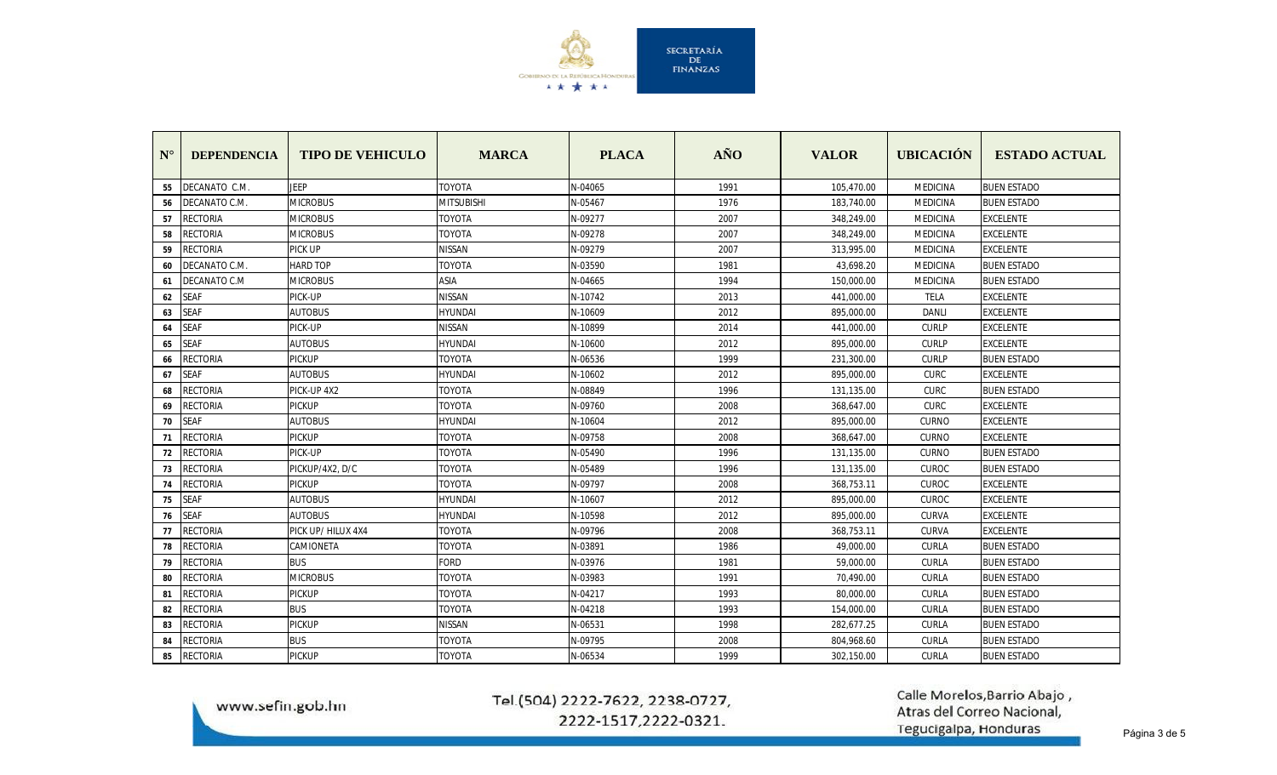

| $N^{\circ}$ | <b>DEPENDENCIA</b> | <b>TIPO DE VEHICULO</b> | <b>MARCA</b>   | <b>PLACA</b> | AÑO  | <b>VALOR</b> | <b>UBICACIÓN</b> | <b>ESTADO ACTUAL</b> |
|-------------|--------------------|-------------------------|----------------|--------------|------|--------------|------------------|----------------------|
| 55          | DECANATO C.M.      | <b>JEEP</b>             | <b>TOYOTA</b>  | N-04065      | 1991 | 105,470.00   | <b>MEDICINA</b>  | <b>BUEN ESTADO</b>   |
| 56          | DECANATO C.M.      | <b>MICROBUS</b>         | MITSUBISHI     | N-05467      | 1976 | 183,740.00   | <b>MEDICINA</b>  | <b>BUEN ESTADO</b>   |
| 57          | RECTORIA           | <b>MICROBUS</b>         | TOYOTA         | N-09277      | 2007 | 348,249.00   | MEDICINA         | <b>EXCELENTE</b>     |
| 58          | RECTORIA           | <b>MICROBUS</b>         | TOYOTA         | N-09278      | 2007 | 348,249.00   | <b>MEDICINA</b>  | <b>EXCELENTE</b>     |
| 59          | <b>RECTORIA</b>    | PICK UP                 | <b>NISSAN</b>  | N-09279      | 2007 | 313,995.00   | <b>MEDICINA</b>  | <b>EXCELENTE</b>     |
| 60          | DECANATO C.M.      | <b>HARD TOP</b>         | <b>TOYOTA</b>  | N-03590      | 1981 | 43,698.20    | <b>MEDICINA</b>  | <b>BUEN ESTADO</b>   |
| 61          | DECANATO C.M       | <b>MICROBUS</b>         | <b>ASIA</b>    | N-04665      | 1994 | 150,000.00   | <b>MEDICINA</b>  | <b>BUEN ESTADO</b>   |
| 62          | <b>SEAF</b>        | PICK-UP                 | VISSAN         | N-10742      | 2013 | 441,000.00   | TELA             | <b>EXCELENTE</b>     |
| 63          | <b>SEAF</b>        | <b>AUTOBUS</b>          | <b>HYUNDAI</b> | N-10609      | 2012 | 895,000.00   | <b>DANLI</b>     | <b>EXCELENTE</b>     |
| 64          | <b>SEAF</b>        | PICK-UP                 | <b>NISSAN</b>  | N-10899      | 2014 | 441,000.00   | <b>CURLP</b>     | <b>EXCELENTE</b>     |
| 65          | <b>SEAF</b>        | <b>AUTOBUS</b>          | <b>HYUNDAI</b> | N-10600      | 2012 | 895,000.00   | <b>CURLP</b>     | <b>EXCELENTE</b>     |
| 66          | RECTORIA           | <b>PICKUP</b>           | TOYOTA         | N-06536      | 1999 | 231,300.00   | <b>CURLP</b>     | <b>BUEN ESTADO</b>   |
| 67          | <b>SEAF</b>        | <b>AUTOBUS</b>          | HYUNDAI        | N-10602      | 2012 | 895,000.00   | <b>CURC</b>      | <b>EXCELENTE</b>     |
| 68          | RECTORIA           | PICK-UP 4X2             | TOYOTA         | N-08849      | 1996 | 131,135.00   | <b>CURC</b>      | <b>BUEN ESTADO</b>   |
| 69          | RECTORIA           | <b>PICKUP</b>           | TOYOTA         | N-09760      | 2008 | 368,647.00   | <b>CURC</b>      | <b>EXCELENTE</b>     |
| 70          | <b>SEAF</b>        | <b>AUTOBUS</b>          | <b>HYUNDAI</b> | N-10604      | 2012 | 895,000.00   | CURNO            | <b>EXCELENTE</b>     |
| 71          | RECTORIA           | <b>PICKUP</b>           | TOYOTA         | N-09758      | 2008 | 368,647.00   | CURNO            | <b>EXCELENTE</b>     |
| 72          | RECTORIA           | PICK-UP                 | TOYOTA         | N-05490      | 1996 | 131,135.00   | <b>CURNO</b>     | <b>BUEN ESTADO</b>   |
| 73          | <b>RECTORIA</b>    | PICKUP/4X2, D/C         | <b>TOYOTA</b>  | N-05489      | 1996 | 131,135.00   | <b>CUROC</b>     | <b>BUEN ESTADO</b>   |
| 74          | RECTORIA           | <b>PICKUP</b>           | TOYOTA         | N-09797      | 2008 | 368,753.11   | <b>CUROC</b>     | <b>EXCELENTE</b>     |
| 75          | <b>SEAF</b>        | <b>AUTOBUS</b>          | <b>HYUNDAI</b> | N-10607      | 2012 | 895,000.00   | <b>CUROC</b>     | <b>EXCELENTE</b>     |
| 76          | <b>SEAF</b>        | <b>AUTOBUS</b>          | <b>HYUNDAI</b> | N-10598      | 2012 | 895,000.00   | <b>CURVA</b>     | <b>EXCELENTE</b>     |
| 77          | RECTORIA           | PICK UP/ HILUX 4X4      | TOYOTA         | N-09796      | 2008 | 368,753.11   | <b>CURVA</b>     | <b>EXCELENTE</b>     |
| 78          | RECTORIA           | CAMIONETA               | TOYOTA         | N-03891      | 1986 | 49,000.00    | <b>CURLA</b>     | <b>BUEN ESTADO</b>   |
| 79          | RECTORIA           | <b>BUS</b>              | <b>FORD</b>    | N-03976      | 1981 | 59,000.00    | CURLA            | <b>BUEN ESTADO</b>   |
| 80          | RECTORIA           | <b>MICROBUS</b>         | TOYOTA         | N-03983      | 1991 | 70,490.00    | CURLA            | <b>BUEN ESTADO</b>   |
| 81          | RECTORIA           | <b>PICKUP</b>           | TOYOTA         | N-04217      | 1993 | 80,000.00    | CURLA            | <b>BUEN ESTADO</b>   |
| 82          | <b>RECTORIA</b>    | <b>BUS</b>              | TOYOTA         | N-04218      | 1993 | 154,000.00   | CURLA            | <b>BUEN ESTADO</b>   |
| 83          | RECTORIA           | <b>PICKUP</b>           | <b>NISSAN</b>  | N-06531      | 1998 | 282,677.25   | <b>CURLA</b>     | <b>BUEN ESTADO</b>   |
| 84          | RECTORIA           | <b>BUS</b>              | ΓΟΥΟΤΑ         | N-09795      | 2008 | 804,968.60   | <b>CURLA</b>     | <b>BUEN ESTADO</b>   |
| 85          | <b>RECTORIA</b>    | <b>PICKUP</b>           | <b>TOYOTA</b>  | N-06534      | 1999 | 302,150.00   | CURLA            | <b>BUEN ESTADO</b>   |

www.sefin.gob.hn

# Tel.(504) 2222-7622, 2238-0727, 2222-1517,2222-0321.